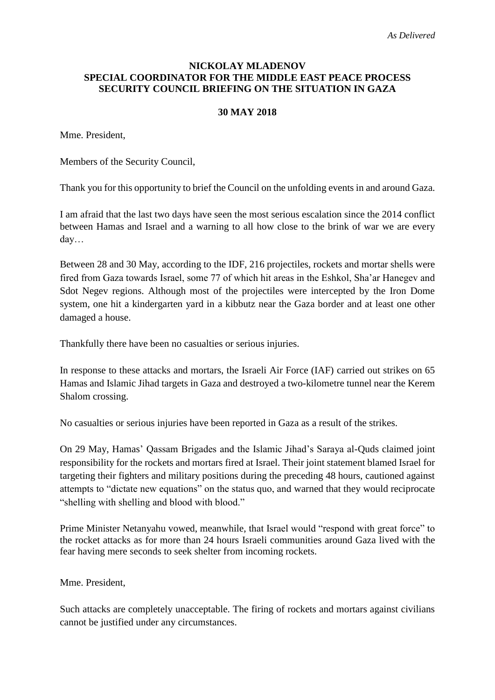## **NICKOLAY MLADENOV SPECIAL COORDINATOR FOR THE MIDDLE EAST PEACE PROCESS SECURITY COUNCIL BRIEFING ON THE SITUATION IN GAZA**

# **30 MAY 2018**

Mme. President,

Members of the Security Council,

Thank you for this opportunity to brief the Council on the unfolding events in and around Gaza.

I am afraid that the last two days have seen the most serious escalation since the 2014 conflict between Hamas and Israel and a warning to all how close to the brink of war we are every day…

Between 28 and 30 May, according to the IDF, 216 projectiles, rockets and mortar shells were fired from Gaza towards Israel, some 77 of which hit areas in the Eshkol, Sha'ar Hanegev and Sdot Negev regions. Although most of the projectiles were intercepted by the Iron Dome system, one hit a kindergarten yard in a kibbutz near the Gaza border and at least one other damaged a house.

Thankfully there have been no casualties or serious injuries.

In response to these attacks and mortars, the Israeli Air Force (IAF) carried out strikes on 65 Hamas and Islamic Jihad targets in Gaza and destroyed a two-kilometre tunnel near the Kerem Shalom crossing.

No casualties or serious injuries have been reported in Gaza as a result of the strikes.

On 29 May, Hamas' Qassam Brigades and the Islamic Jihad's Saraya al-Quds claimed joint responsibility for the rockets and mortars fired at Israel. Their joint statement blamed Israel for targeting their fighters and military positions during the preceding 48 hours, cautioned against attempts to "dictate new equations" on the status quo, and warned that they would reciprocate "shelling with shelling and blood with blood."

Prime Minister Netanyahu vowed, meanwhile, that Israel would "respond with great force" to the rocket attacks as for more than 24 hours Israeli communities around Gaza lived with the fear having mere seconds to seek shelter from incoming rockets.

## Mme. President,

Such attacks are completely unacceptable. The firing of rockets and mortars against civilians cannot be justified under any circumstances.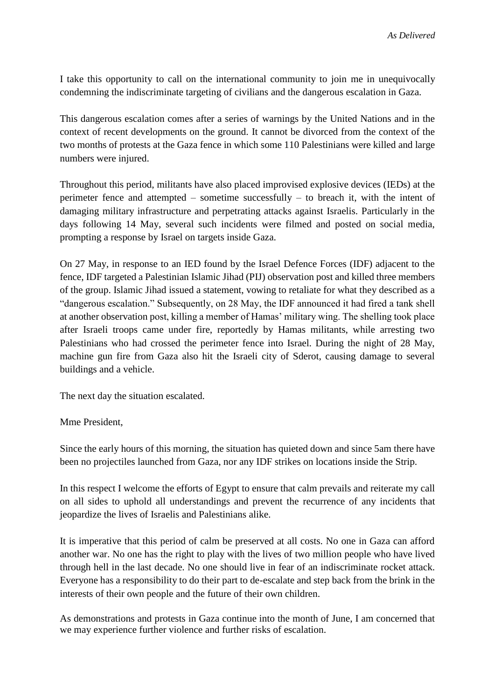I take this opportunity to call on the international community to join me in unequivocally condemning the indiscriminate targeting of civilians and the dangerous escalation in Gaza.

This dangerous escalation comes after a series of warnings by the United Nations and in the context of recent developments on the ground. It cannot be divorced from the context of the two months of protests at the Gaza fence in which some 110 Palestinians were killed and large numbers were injured.

Throughout this period, militants have also placed improvised explosive devices (IEDs) at the perimeter fence and attempted – sometime successfully – to breach it, with the intent of damaging military infrastructure and perpetrating attacks against Israelis. Particularly in the days following 14 May, several such incidents were filmed and posted on social media, prompting a response by Israel on targets inside Gaza.

On 27 May, in response to an IED found by the Israel Defence Forces (IDF) adjacent to the fence, IDF targeted a Palestinian Islamic Jihad (PIJ) observation post and killed three members of the group. Islamic Jihad issued a statement, vowing to retaliate for what they described as a "dangerous escalation." Subsequently, on 28 May, the IDF announced it had fired a tank shell at another observation post, killing a member of Hamas' military wing. The shelling took place after Israeli troops came under fire, reportedly by Hamas militants, while arresting two Palestinians who had crossed the perimeter fence into Israel. During the night of 28 May, machine gun fire from Gaza also hit the Israeli city of Sderot, causing damage to several buildings and a vehicle.

The next day the situation escalated.

Mme President,

Since the early hours of this morning, the situation has quieted down and since 5am there have been no projectiles launched from Gaza, nor any IDF strikes on locations inside the Strip.

In this respect I welcome the efforts of Egypt to ensure that calm prevails and reiterate my call on all sides to uphold all understandings and prevent the recurrence of any incidents that jeopardize the lives of Israelis and Palestinians alike.

It is imperative that this period of calm be preserved at all costs. No one in Gaza can afford another war. No one has the right to play with the lives of two million people who have lived through hell in the last decade. No one should live in fear of an indiscriminate rocket attack. Everyone has a responsibility to do their part to de-escalate and step back from the brink in the interests of their own people and the future of their own children.

As demonstrations and protests in Gaza continue into the month of June, I am concerned that we may experience further violence and further risks of escalation.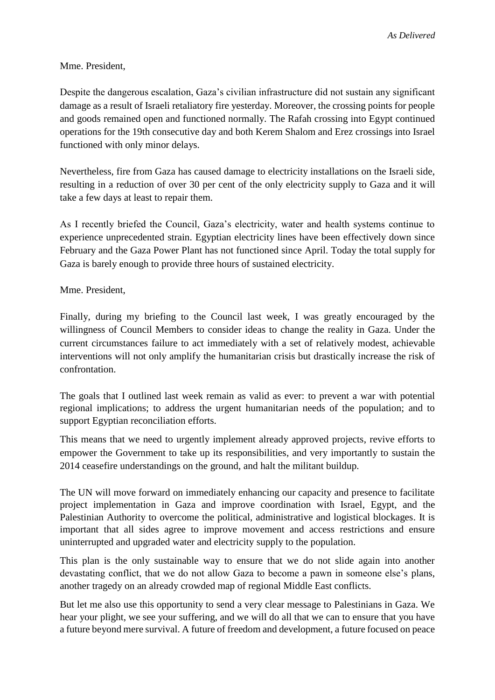## Mme. President,

Despite the dangerous escalation, Gaza's civilian infrastructure did not sustain any significant damage as a result of Israeli retaliatory fire yesterday. Moreover, the crossing points for people and goods remained open and functioned normally. The Rafah crossing into Egypt continued operations for the 19th consecutive day and both Kerem Shalom and Erez crossings into Israel functioned with only minor delays.

Nevertheless, fire from Gaza has caused damage to electricity installations on the Israeli side, resulting in a reduction of over 30 per cent of the only electricity supply to Gaza and it will take a few days at least to repair them.

As I recently briefed the Council, Gaza's electricity, water and health systems continue to experience unprecedented strain. Egyptian electricity lines have been effectively down since February and the Gaza Power Plant has not functioned since April. Today the total supply for Gaza is barely enough to provide three hours of sustained electricity.

# Mme. President,

Finally, during my briefing to the Council last week, I was greatly encouraged by the willingness of Council Members to consider ideas to change the reality in Gaza. Under the current circumstances failure to act immediately with a set of relatively modest, achievable interventions will not only amplify the humanitarian crisis but drastically increase the risk of confrontation.

The goals that I outlined last week remain as valid as ever: to prevent a war with potential regional implications; to address the urgent humanitarian needs of the population; and to support Egyptian reconciliation efforts.

This means that we need to urgently implement already approved projects, revive efforts to empower the Government to take up its responsibilities, and very importantly to sustain the 2014 ceasefire understandings on the ground, and halt the militant buildup.

The UN will move forward on immediately enhancing our capacity and presence to facilitate project implementation in Gaza and improve coordination with Israel, Egypt, and the Palestinian Authority to overcome the political, administrative and logistical blockages. It is important that all sides agree to improve movement and access restrictions and ensure uninterrupted and upgraded water and electricity supply to the population.

This plan is the only sustainable way to ensure that we do not slide again into another devastating conflict, that we do not allow Gaza to become a pawn in someone else's plans, another tragedy on an already crowded map of regional Middle East conflicts.

But let me also use this opportunity to send a very clear message to Palestinians in Gaza. We hear your plight, we see your suffering, and we will do all that we can to ensure that you have a future beyond mere survival. A future of freedom and development, a future focused on peace